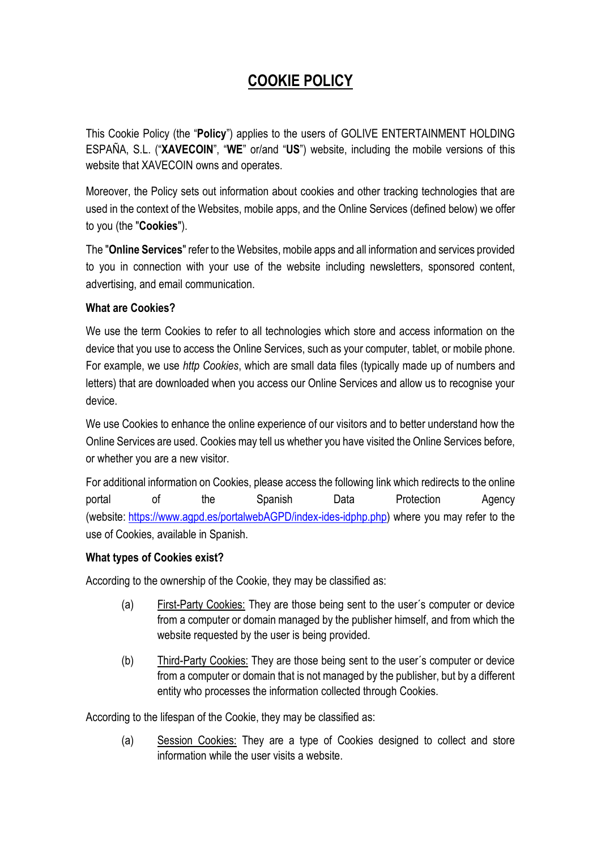# **COOKIE POLICY**

This Cookie Policy (the "**Policy**") applies to the users of GOLIVE ENTERTAINMENT HOLDING ESPAÑA, S.L. ("**XAVECOIN**", "**WE**" or/and "**US**") website, including the mobile versions of this website that XAVECOIN owns and operates.

Moreover, the Policy sets out information about cookies and other tracking technologies that are used in the context of the Websites, mobile apps, and the Online Services (defined below) we offer to you (the "**Cookies**").

The "**Online Services**" refer to the Websites, mobile apps and all information and services provided to you in connection with your use of the website including newsletters, sponsored content, advertising, and email communication.

# **What are Cookies?**

We use the term Cookies to refer to all technologies which store and access information on the device that you use to access the Online Services, such as your computer, tablet, or mobile phone. For example, we use *http Cookies*, which are small data files (typically made up of numbers and letters) that are downloaded when you access our Online Services and allow us to recognise your device.

We use Cookies to enhance the online experience of our visitors and to better understand how the Online Services are used. Cookies may tell us whether you have visited the Online Services before, or whether you are a new visitor.

For additional information on Cookies, please access the following link which redirects to the online portal of the Spanish Data Protection Agency (website: [https://www.agpd.es/portalwebAGPD/index-ides-idphp.php\)](https://www.agpd.es/portalwebAGPD/index-ides-idphp.php) where you may refer to the use of Cookies, available in Spanish.

#### **What types of Cookies exist?**

According to the ownership of the Cookie, they may be classified as:

- (a) First-Party Cookies: They are those being sent to the user´s computer or device from a computer or domain managed by the publisher himself, and from which the website requested by the user is being provided.
- (b) Third-Party Cookies: They are those being sent to the user´s computer or device from a computer or domain that is not managed by the publisher, but by a different entity who processes the information collected through Cookies.

According to the lifespan of the Cookie, they may be classified as:

(a) Session Cookies: They are a type of Cookies designed to collect and store information while the user visits a website.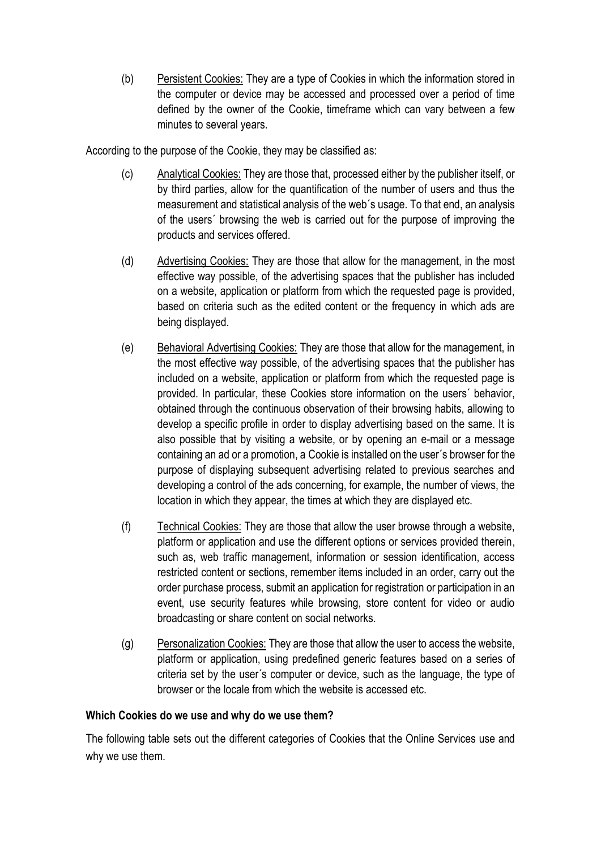(b) Persistent Cookies: They are a type of Cookies in which the information stored in the computer or device may be accessed and processed over a period of time defined by the owner of the Cookie, timeframe which can vary between a few minutes to several years.

According to the purpose of the Cookie, they may be classified as:

- (c) Analytical Cookies: They are those that, processed either by the publisher itself, or by third parties, allow for the quantification of the number of users and thus the measurement and statistical analysis of the web´s usage. To that end, an analysis of the users´ browsing the web is carried out for the purpose of improving the products and services offered.
- (d) Advertising Cookies: They are those that allow for the management, in the most effective way possible, of the advertising spaces that the publisher has included on a website, application or platform from which the requested page is provided, based on criteria such as the edited content or the frequency in which ads are being displayed.
- (e) Behavioral Advertising Cookies: They are those that allow for the management, in the most effective way possible, of the advertising spaces that the publisher has included on a website, application or platform from which the requested page is provided. In particular, these Cookies store information on the users´ behavior, obtained through the continuous observation of their browsing habits, allowing to develop a specific profile in order to display advertising based on the same. It is also possible that by visiting a website, or by opening an e-mail or a message containing an ad or a promotion, a Cookie is installed on the user´s browser for the purpose of displaying subsequent advertising related to previous searches and developing a control of the ads concerning, for example, the number of views, the location in which they appear, the times at which they are displayed etc.
- (f) Technical Cookies: They are those that allow the user browse through a website, platform or application and use the different options or services provided therein, such as, web traffic management, information or session identification, access restricted content or sections, remember items included in an order, carry out the order purchase process, submit an application for registration or participation in an event, use security features while browsing, store content for video or audio broadcasting or share content on social networks.
- (g) Personalization Cookies: They are those that allow the user to access the website, platform or application, using predefined generic features based on a series of criteria set by the user´s computer or device, such as the language, the type of browser or the locale from which the website is accessed etc.

#### **Which Cookies do we use and why do we use them?**

The following table sets out the different categories of Cookies that the Online Services use and why we use them.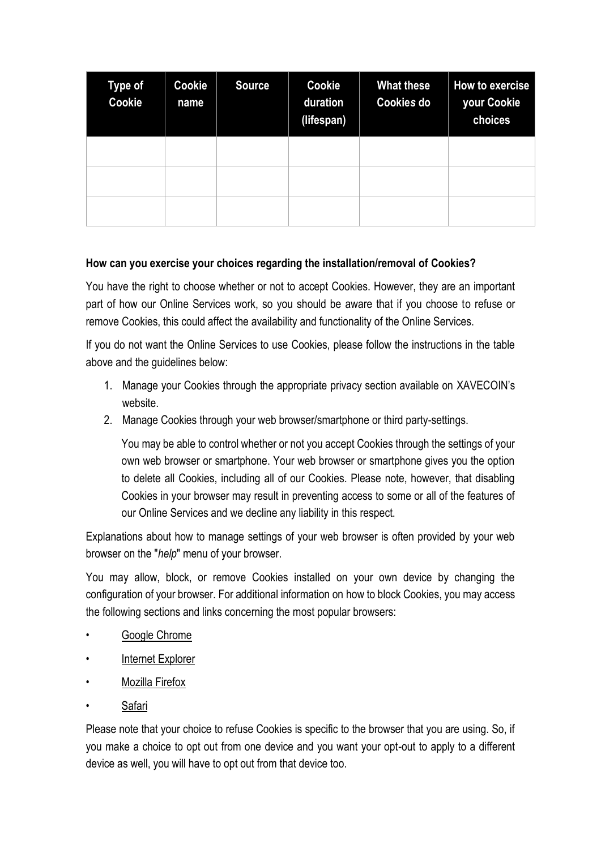| <b>Type of</b><br>Cookie | Cookie<br>name | <b>Source</b> | Cookie<br>duration<br>(lifespan) | <b>What these</b><br><b>Cookies do</b> | How to exercise<br>your Cookie<br>choices |
|--------------------------|----------------|---------------|----------------------------------|----------------------------------------|-------------------------------------------|
|                          |                |               |                                  |                                        |                                           |
|                          |                |               |                                  |                                        |                                           |
|                          |                |               |                                  |                                        |                                           |

## **How can you exercise your choices regarding the installation/removal of Cookies?**

You have the right to choose whether or not to accept Cookies. However, they are an important part of how our Online Services work, so you should be aware that if you choose to refuse or remove Cookies, this could affect the availability and functionality of the Online Services.

If you do not want the Online Services to use Cookies, please follow the instructions in the table above and the quidelines below:

- 1. Manage your Cookies through the appropriate privacy section available on XAVECOIN's website.
- 2. Manage Cookies through your web browser/smartphone or third party-settings.

You may be able to control whether or not you accept Cookies through the settings of your own web browser or smartphone. Your web browser or smartphone gives you the option to delete all Cookies, including all of our Cookies. Please note, however, that disabling Cookies in your browser may result in preventing access to some or all of the features of our Online Services and we decline any liability in this respect.

Explanations about how to manage settings of your web browser is often provided by your web browser on the "*help*" menu of your browser.

You may allow, block, or remove Cookies installed on your own device by changing the configuration of your browser. For additional information on how to block Cookies, you may access the following sections and links concerning the most popular browsers:

- [Google Chrome](https://support.google.com/chrome/answer/95647?hl=cs)
- [Internet Explorer](https://support.microsoft.com/cs-cz/help/17442/windows-internet-explorer-delete-manage-cookies)
- [Mozilla Firefox](https://support.mozilla.org/cs/kb/povoleni-zakazani-cookies)
- [Safari](https://support.apple.com/kb/PH21411?locale=es_ES&viewlocale=cs_CZ)

Please note that your choice to refuse Cookies is specific to the browser that you are using. So, if you make a choice to opt out from one device and you want your opt-out to apply to a different device as well, you will have to opt out from that device too.